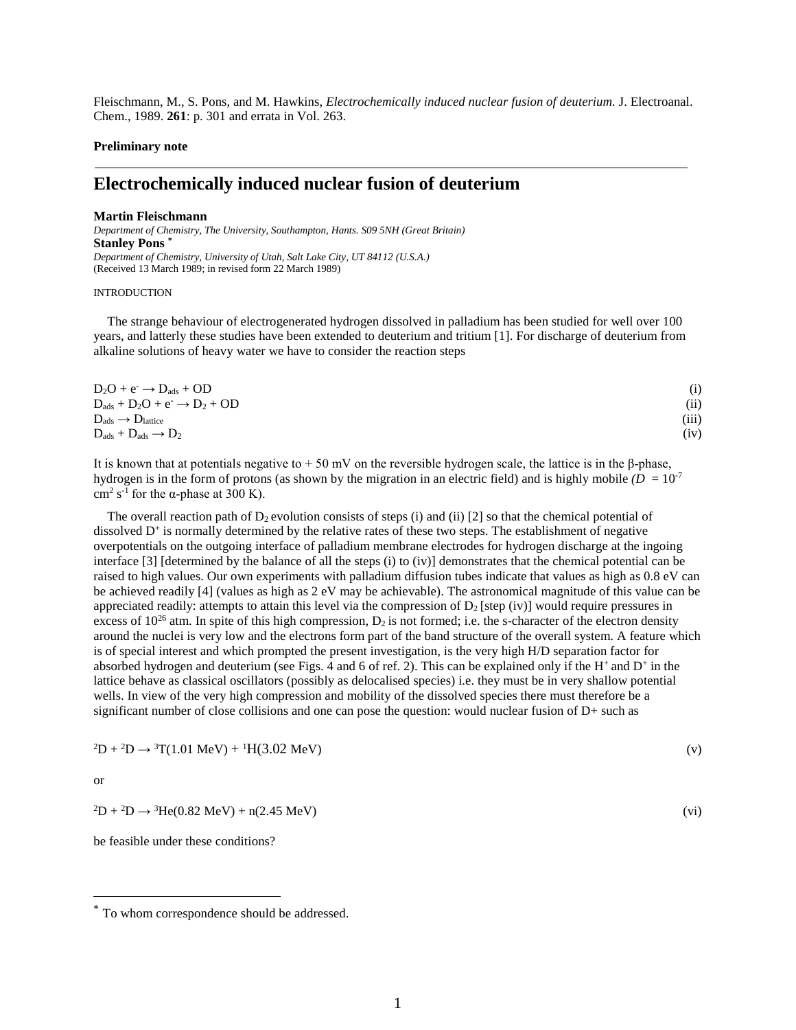Fleischmann, M., S. Pons, and M. Hawkins, *Electrochemically induced nuclear fusion of deuterium.* J. Electroanal. Chem., 1989. **261**: p. 301 and errata in Vol. 263.

### **Preliminary note**

# **Electrochemically induced nuclear fusion of deuterium**

#### **Martin Fleischmann**

*Department of Chemistry, The University, Southampton, Hants. S09 5NH (Great Britain)*  **Stanley Pons [\\*](#page-0-0)** *Department of Chemistry, University of Utah, Salt Lake City, UT 84112 (U.S.A.)*  (Received 13 March 1989; in revised form 22 March 1989)

### INTRODUCTION

The strange behaviour of electrogenerated hydrogen dissolved in palladium has been studied for well over 100 years, and latterly these studies have been extended to deuterium and tritium [1]. For discharge of deuterium from alkaline solutions of heavy water we have to consider the reaction steps

| $D_2O + e^- \rightarrow D_{ads} + OD$       | (i)   |
|---------------------------------------------|-------|
| $D_{ads} + D_2O + e^- \rightarrow D_2 + OD$ | (ii)  |
| $D_{ads} \rightarrow D_{lattice}$           | (iii) |
| $D_{ads} + D_{ads} \rightarrow D_2$         | (iv)  |

It is known that at potentials negative to  $+50$  mV on the reversible hydrogen scale, the lattice is in the β-phase, hydrogen is in the form of protons (as shown by the migration in an electric field) and is highly mobile  $(D = 10^{-7}$ cm<sup>2</sup> s<sup>-1</sup> for the  $\alpha$ -phase at 300 K).

The overall reaction path of  $D_2$  evolution consists of steps (i) and (ii) [2] so that the chemical potential of dissolved  $D<sup>+</sup>$  is normally determined by the relative rates of these two steps. The establishment of negative overpotentials on the outgoing interface of palladium membrane electrodes for hydrogen discharge at the ingoing interface [3] [determined by the balance of all the steps (i) to (iv)] demonstrates that the chemical potential can be raised to high values. Our own experiments with palladium diffusion tubes indicate that values as high as 0.8 eV can be achieved readily [4] (values as high as 2 eV may be achievable). The astronomical magnitude of this value can be appreciated readily: attempts to attain this level via the compression of  $D_2$  [step (iv)] would require pressures in excess of  $10^{26}$  atm. In spite of this high compression,  $D_2$  is not formed; i.e. the s-character of the electron density around the nuclei is very low and the electrons form part of the band structure of the overall system. A feature which is of special interest and which prompted the present investigation, is the very high H/D separation factor for absorbed hydrogen and deuterium (see Figs. 4 and 6 of ref. 2). This can be explained only if the  $H^+$  and  $D^+$  in the lattice behave as classical oscillators (possibly as delocalised species) i.e. they must be in very shallow potential wells. In view of the very high compression and mobility of the dissolved species there must therefore be a significant number of close collisions and one can pose the question: would nuclear fusion of D+ such as

$$
{}^{2}D + {}^{2}D \rightarrow {}^{3}T(1.01 \text{ MeV}) + {}^{1}H(3.02 \text{ MeV})
$$
 (v)

or

$$
{}^{2}\text{D} + {}^{2}\text{D} \rightarrow {}^{3}\text{He}(0.82 \text{ MeV}) + \text{n}(2.45 \text{ MeV})
$$
 (vi)

be feasible under these conditions?

<span id="page-0-0"></span><sup>\*</sup> To whom correspondence should be addressed.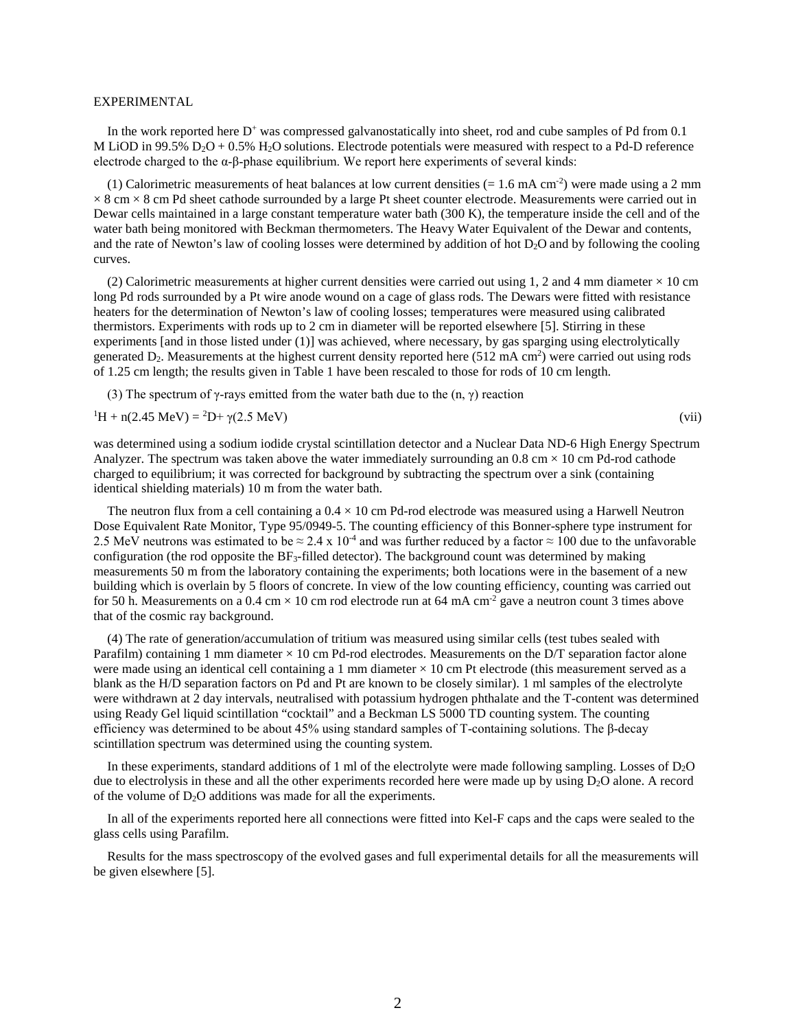### EXPERIMENTAL

In the work reported here D<sup>+</sup> was compressed galvanostatically into sheet, rod and cube samples of Pd from 0.1 M LiOD in 99.5%  $D_2O + 0.5$ % H<sub>2</sub>O solutions. Electrode potentials were measured with respect to a Pd-D reference electrode charged to the  $\alpha$ -β-phase equilibrium. We report here experiments of several kinds:

(1) Calorimetric measurements of heat balances at low current densities  $(= 1.6 \text{ mA cm}^{-2})$  were made using a 2 mm  $\times$  8 cm  $\times$  8 cm Pd sheet cathode surrounded by a large Pt sheet counter electrode. Measurements were carried out in Dewar cells maintained in a large constant temperature water bath (300 K), the temperature inside the cell and of the water bath being monitored with Beckman thermometers. The Heavy Water Equivalent of the Dewar and contents, and the rate of Newton's law of cooling losses were determined by addition of hot D2O and by following the cooling curves.

(2) Calorimetric measurements at higher current densities were carried out using 1, 2 and 4 mm diameter  $\times$  10 cm long Pd rods surrounded by a Pt wire anode wound on a cage of glass rods. The Dewars were fitted with resistance heaters for the determination of Newton's law of cooling losses; temperatures were measured using calibrated thermistors. Experiments with rods up to 2 cm in diameter will be reported elsewhere [5]. Stirring in these experiments [and in those listed under (1)] was achieved, where necessary, by gas sparging using electrolytically generated  $D_2$ . Measurements at the highest current density reported here (512 mA cm<sup>2</sup>) were carried out using rods of 1.25 cm length; the results given in Table 1 have been rescaled to those for rods of 10 cm length.

(3) The spectrum of  $\gamma$ -rays emitted from the water bath due to the  $(n, \gamma)$  reaction

 ${}^{1}H + n(2.45 \text{ MeV}) = {}^{2}D + \gamma(2.5 \text{ MeV})$  (vii)

was determined using a sodium iodide crystal scintillation detector and a Nuclear Data ND-6 High Energy Spectrum Analyzer. The spectrum was taken above the water immediately surrounding an  $0.8 \text{ cm} \times 10 \text{ cm}$  Pd-rod cathode charged to equilibrium; it was corrected for background by subtracting the spectrum over a sink (containing identical shielding materials) 10 m from the water bath.

The neutron flux from a cell containing a  $0.4 \times 10$  cm Pd-rod electrode was measured using a Harwell Neutron Dose Equivalent Rate Monitor, Type 95/0949-5. The counting efficiency of this Bonner-sphere type instrument for 2.5 MeV neutrons was estimated to be  $\approx 2.4 \times 10^4$  and was further reduced by a factor  $\approx 100$  due to the unfavorable configuration (the rod opposite the  $BF_3$ -filled detector). The background count was determined by making measurements 50 m from the laboratory containing the experiments; both locations were in the basement of a new building which is overlain by 5 floors of concrete. In view of the low counting efficiency, counting was carried out for 50 h. Measurements on a 0.4 cm  $\times$  10 cm rod electrode run at 64 mA cm<sup>-2</sup> gave a neutron count 3 times above that of the cosmic ray background.

(4) The rate of generation/accumulation of tritium was measured using similar cells (test tubes sealed with Parafilm) containing 1 mm diameter  $\times$  10 cm Pd-rod electrodes. Measurements on the D/T separation factor alone were made using an identical cell containing a 1 mm diameter  $\times$  10 cm Pt electrode (this measurement served as a blank as the H/D separation factors on Pd and Pt are known to be closely similar). 1 ml samples of the electrolyte were withdrawn at 2 day intervals, neutralised with potassium hydrogen phthalate and the T-content was determined using Ready Gel liquid scintillation "cocktail" and a Beckman LS 5000 TD counting system. The counting efficiency was determined to be about 45% using standard samples of T-containing solutions. The β-decay scintillation spectrum was determined using the counting system.

In these experiments, standard additions of 1 ml of the electrolyte were made following sampling. Losses of D2O due to electrolysis in these and all the other experiments recorded here were made up by using  $D_2O$  alone. A record of the volume of  $D_2O$  additions was made for all the experiments.

In all of the experiments reported here all connections were fitted into Kel-F caps and the caps were sealed to the glass cells using Parafilm.

Results for the mass spectroscopy of the evolved gases and full experimental details for all the measurements will be given elsewhere [5].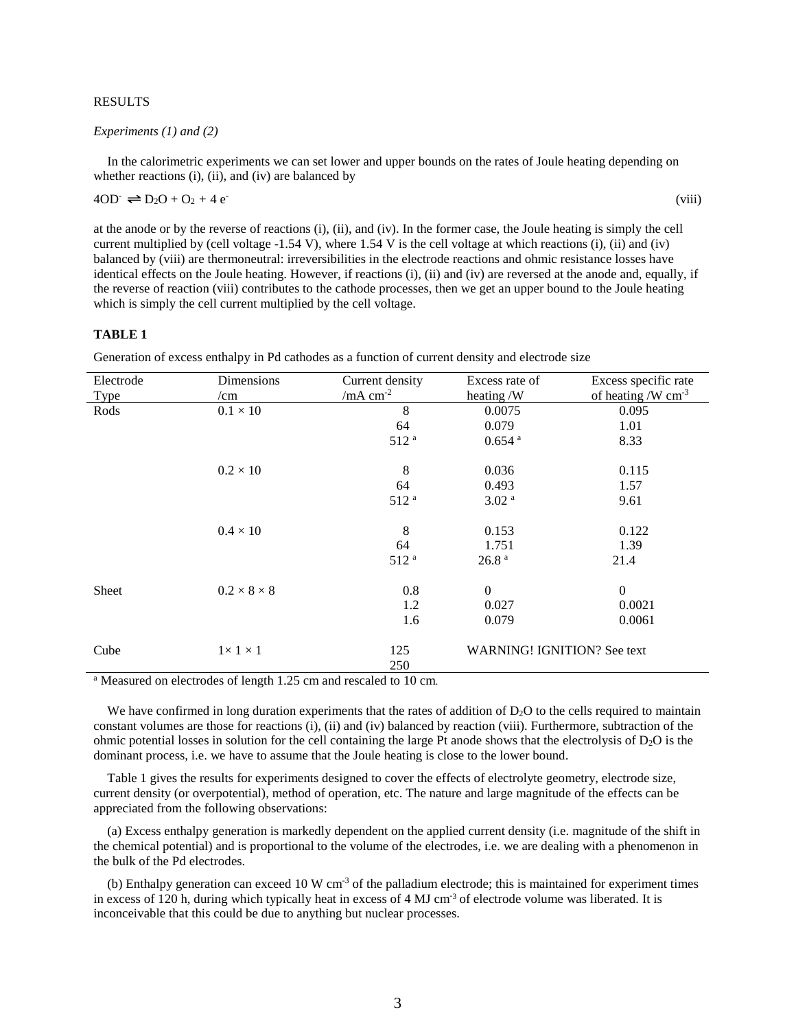### RESULTS

### *Experiments (1) and (2)*

In the calorimetric experiments we can set lower and upper bounds on the rates of Joule heating depending on whether reactions (i), (ii), and (iv) are balanced by

$$
4OD^{\cdot} \rightleftharpoons D_2O + O_2 + 4 e^{\cdot}
$$

at the anode or by the reverse of reactions (i), (ii), and (iv). In the former case, the Joule heating is simply the cell current multiplied by (cell voltage -1.54 V), where 1.54 V is the cell voltage at which reactions (i), (ii) and (iv) balanced by (viii) are thermoneutral: irreversibilities in the electrode reactions and ohmic resistance losses have identical effects on the Joule heating. However, if reactions (i), (ii) and (iv) are reversed at the anode and, equally, if the reverse of reaction (viii) contributes to the cathode processes, then we get an upper bound to the Joule heating which is simply the cell current multiplied by the cell voltage.

(viii)

### **TABLE 1**

Generation of excess enthalpy in Pd cathodes as a function of current density and electrode size

| Electrode | Dimensions              | Current density  | Excess rate of                     | Excess specific rate |
|-----------|-------------------------|------------------|------------------------------------|----------------------|
| Type      | /cm                     | /mA $cm^{-2}$    | heating /W                         | of heating /W $cm-3$ |
| Rods      | $0.1\times10$           | 8                | 0.0075                             | 0.095                |
|           |                         | 64               | 0.079                              | 1.01                 |
|           |                         | 512 <sup>a</sup> | $0.654$ <sup>a</sup>               | 8.33                 |
|           | $0.2 \times 10$         | 8                | 0.036                              | 0.115                |
|           |                         | 64               | 0.493                              | 1.57                 |
|           |                         | 512 <sup>a</sup> | 3.02 <sup>a</sup>                  | 9.61                 |
|           | $0.4 \times 10$         | 8                | 0.153                              | 0.122                |
|           |                         | 64               | 1.751                              | 1.39                 |
|           |                         | 512 <sup>a</sup> | 26.8 <sup>a</sup>                  | 21.4                 |
| Sheet     | $0.2 \times 8 \times 8$ | 0.8              | $\boldsymbol{0}$                   | $\overline{0}$       |
|           |                         | 1.2              | 0.027                              | 0.0021               |
|           |                         | 1.6              | 0.079                              | 0.0061               |
| Cube      | $1 \times 1 \times 1$   | 125              | <b>WARNING! IGNITION? See text</b> |                      |
|           |                         | 250              |                                    |                      |

<sup>a</sup> Measured on electrodes of length 1.25 cm and rescaled to 10 cm.

We have confirmed in long duration experiments that the rates of addition of  $D_2O$  to the cells required to maintain constant volumes are those for reactions (i), (ii) and (iv) balanced by reaction (viii). Furthermore, subtraction of the ohmic potential losses in solution for the cell containing the large Pt anode shows that the electrolysis of  $D_2O$  is the dominant process, i.e. we have to assume that the Joule heating is close to the lower bound.

Table 1 gives the results for experiments designed to cover the effects of electrolyte geometry, electrode size, current density (or overpotential), method of operation, etc. The nature and large magnitude of the effects can be appreciated from the following observations:

(a) Excess enthalpy generation is markedly dependent on the applied current density (i.e. magnitude of the shift in the chemical potential) and is proportional to the volume of the electrodes, i.e. we are dealing with a phenomenon in the bulk of the Pd electrodes.

(b) Enthalpy generation can exceed 10 W cm<sup>-3</sup> of the palladium electrode; this is maintained for experiment times in excess of 120 h, during which typically heat in excess of 4 MJ cm<sup>-3</sup> of electrode volume was liberated. It is inconceivable that this could be due to anything but nuclear processes.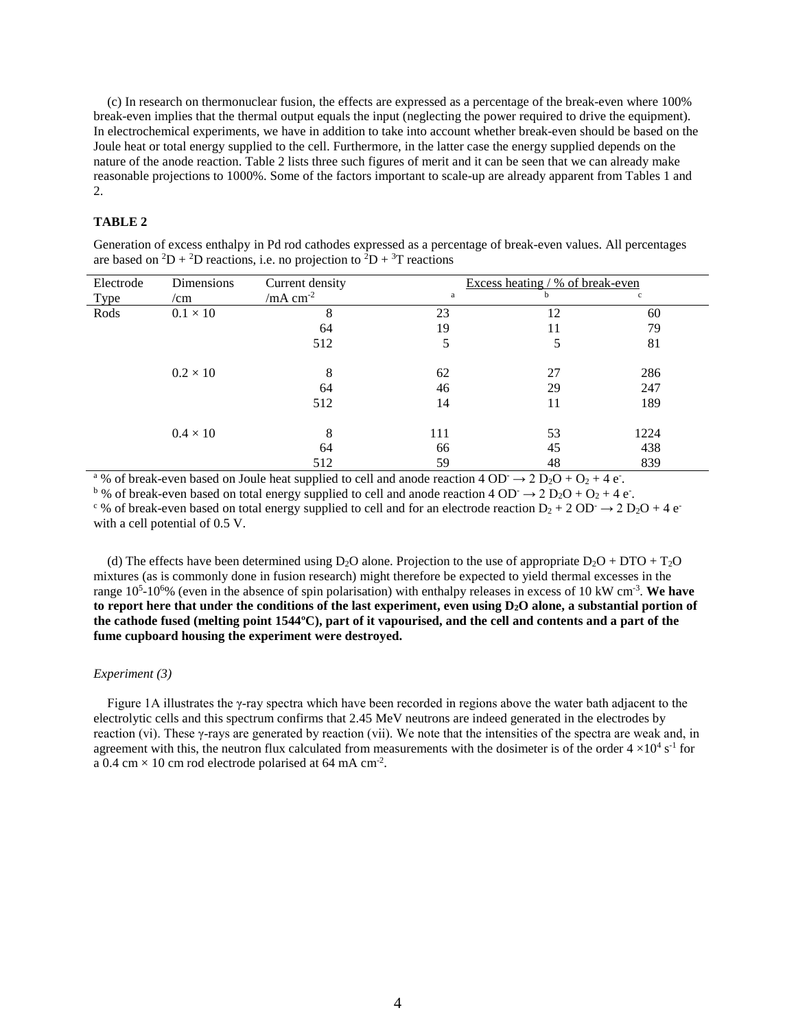(c) In research on thermonuclear fusion, the effects are expressed as a percentage of the break-even where 100% break-even implies that the thermal output equals the input (neglecting the power required to drive the equipment). In electrochemical experiments, we have in addition to take into account whether break-even should be based on the Joule heat or total energy supplied to the cell. Furthermore, in the latter case the energy supplied depends on the nature of the anode reaction. Table 2 lists three such figures of merit and it can be seen that we can already make reasonable projections to 1000%. Some of the factors important to scale-up are already apparent from Tables 1 and 2.

## **TABLE 2**

| are based on $\Delta D + \Delta D$ reactions, i.e. no projection to $\Delta D + \Delta T$ reactions |                 |                 |                                  |    |              |  |  |
|-----------------------------------------------------------------------------------------------------|-----------------|-----------------|----------------------------------|----|--------------|--|--|
| Electrode                                                                                           | Dimensions      | Current density | Excess heating / % of break-even |    |              |  |  |
| Type                                                                                                | /cm             | /mA $cm-2$      | a                                | h  | $\mathbf{C}$ |  |  |
| Rods                                                                                                | $0.1 \times 10$ | 8               | 23                               | 12 | 60           |  |  |
|                                                                                                     |                 | 64              | 19                               | 11 | 79           |  |  |
|                                                                                                     |                 | 512             |                                  | 5  | 81           |  |  |
|                                                                                                     | $0.2 \times 10$ | 8               | 62                               | 27 | 286          |  |  |
|                                                                                                     |                 | 64              | 46                               | 29 | 247          |  |  |
|                                                                                                     |                 | 512             | 14                               | 11 | 189          |  |  |
|                                                                                                     | $0.4 \times 10$ | 8               | 111                              | 53 | 1224         |  |  |
|                                                                                                     |                 | 64              | 66                               | 45 | 438          |  |  |
|                                                                                                     |                 | 512             | 59                               | 48 | 839          |  |  |

Generation of excess enthalpy in Pd rod cathodes expressed as a percentage of break-even values. All percentages based on <sup>2</sup>D + <sup>2</sup>D reactions, i.e. no projection to <sup>2</sup>D + <sup>3</sup>T

<sup>a</sup> % of break-even based on Joule heat supplied to cell and anode reaction  $4 \text{ OD} \rightarrow 2 \text{ D}_2\text{O} + \text{O}_2 + 4 \text{ e}$ .

<sup>b</sup> % of break-even based on total energy supplied to cell and anode reaction 4 OD<sup>-</sup>  $\rightarrow$  2 D<sub>2</sub>O + O<sub>2</sub> + 4 e<sup>-</sup>.

<sup>c</sup> % of break-even based on total energy supplied to cell and for an electrode reaction  $D_2 + 2 OD \rightarrow 2 D_2O + 4 e^{-}$ with a cell potential of 0.5 V.

(d) The effects have been determined using  $D_2O$  alone. Projection to the use of appropriate  $D_2O + DTO + T_2O$ mixtures (as is commonly done in fusion research) might therefore be expected to yield thermal excesses in the range 10<sup>5</sup>-10<sup>6</sup>% (even in the absence of spin polarisation) with enthalpy releases in excess of 10 kW cm<sup>-3</sup>. We have **to report here that under the conditions of the last experiment, even using D2O alone, a substantial portion of the cathode fused (melting point 1544ºC), part of it vapourised, and the cell and contents and a part of the fume cupboard housing the experiment were destroyed.** 

### *Experiment (3)*

Figure 1A illustrates the γ-ray spectra which have been recorded in regions above the water bath adjacent to the electrolytic cells and this spectrum confirms that 2.45 MeV neutrons are indeed generated in the electrodes by reaction (vi). These γ-rays are generated by reaction (vii). We note that the intensities of the spectra are weak and, in agreement with this, the neutron flux calculated from measurements with the dosimeter is of the order  $4 \times 10^4$  s<sup>-1</sup> for a 0.4 cm  $\times$  10 cm rod electrode polarised at 64 mA cm<sup>-2</sup>.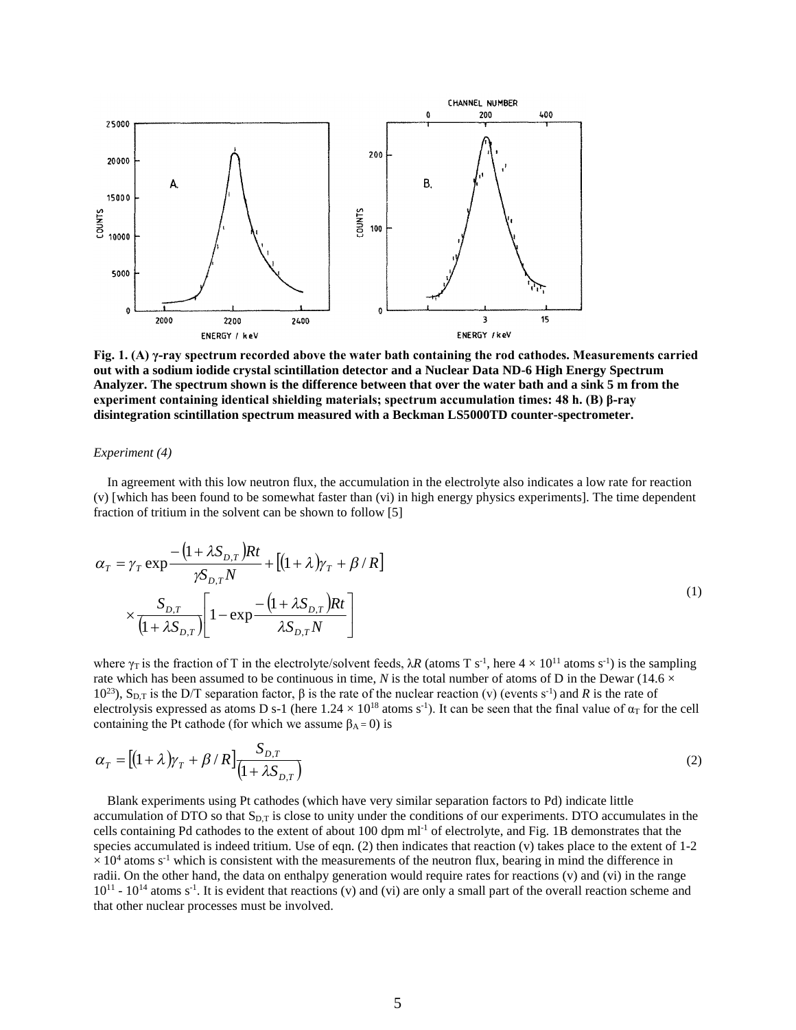

**Fig. 1. (A) γ-ray spectrum recorded above the water bath containing the rod cathodes. Measurements carried out with a sodium iodide crystal scintillation detector and a Nuclear Data ND-6 High Energy Spectrum Analyzer. The spectrum shown is the difference between that over the water bath and a sink 5 m from the experiment containing identical shielding materials; spectrum accumulation times: 48 h. (B) β-ray disintegration scintillation spectrum measured with a Beckman LS5000TD counter-spectrometer.** 

### *Experiment (4)*

In agreement with this low neutron flux, the accumulation in the electrolyte also indicates a low rate for reaction (v) [which has been found to be somewhat faster than (vi) in high energy physics experiments]. The time dependent fraction of tritium in the solvent can be shown to follow [5]

$$
\alpha_{T} = \gamma_{T} \exp \frac{-\left(1 + \lambda S_{D,T}\right)Rt}{\gamma S_{D,T}N} + \left[\left(1 + \lambda\right)\gamma_{T} + \beta/R\right]
$$
\n
$$
\times \frac{S_{D,T}}{\left(1 + \lambda S_{D,T}\right)} \left[1 - \exp \frac{-\left(1 + \lambda S_{D,T}\right)Rt}{\lambda S_{D,T}N}\right]
$$
\n(1)

where  $\gamma_T$  is the fraction of T in the electrolyte/solvent feeds,  $\lambda R$  (atoms T s<sup>-1</sup>, here  $4 \times 10^{11}$  atoms s<sup>-1</sup>) is the sampling rate which has been assumed to be continuous in time, *N* is the total number of atoms of D in the Dewar (14.6  $\times$ 10<sup>23</sup>), S<sub>D,T</sub> is the D/T separation factor, β is the rate of the nuclear reaction (v) (events s<sup>-1</sup>) and R is the rate of electrolysis expressed as atoms D s-1 (here  $1.24 \times 10^{18}$  atoms s<sup>-1</sup>). It can be seen that the final value of  $\alpha_T$  for the cell containing the Pt cathode (for which we assume  $\beta_A = 0$ ) is

$$
\alpha_{T} = \left[ (1 + \lambda) \gamma_{T} + \beta / R \right] \frac{S_{D,T}}{\left( 1 + \lambda S_{D,T} \right)} \tag{2}
$$

Blank experiments using Pt cathodes (which have very similar separation factors to Pd) indicate little accumulation of DTO so that S<sub>D,T</sub> is close to unity under the conditions of our experiments. DTO accumulates in the cells containing Pd cathodes to the extent of about 100 dpm ml<sup>-1</sup> of electrolyte, and Fig. 1B demonstrates that the species accumulated is indeed tritium. Use of eqn. (2) then indicates that reaction (v) takes place to the extent of 1-2  $\times$  10<sup>4</sup> atoms s<sup>-1</sup> which is consistent with the measurements of the neutron flux, bearing in mind the difference in radii. On the other hand, the data on enthalpy generation would require rates for reactions (v) and (vi) in the range  $10^{11}$  -  $10^{14}$  atoms s<sup>-1</sup>. It is evident that reactions (v) and (vi) are only a small part of the overall reaction scheme and that other nuclear processes must be involved.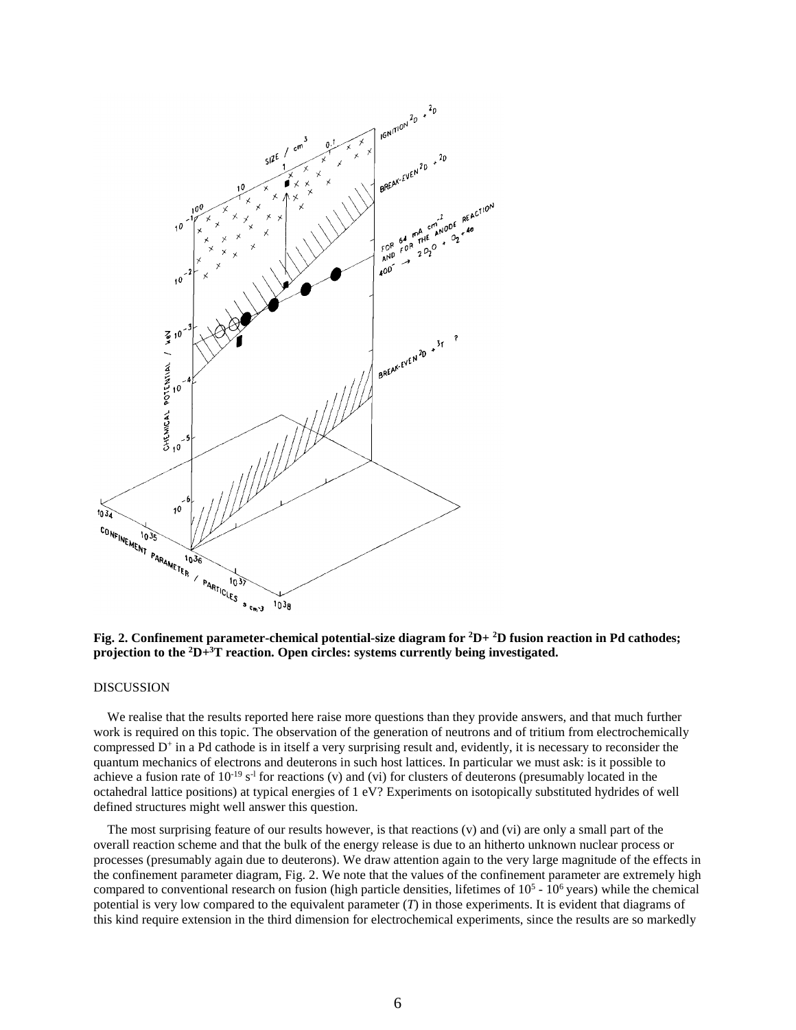

**Fig. 2. Confinement parameter-chemical potential-size diagram for <sup>2</sup>D+ <sup>2</sup>D fusion reaction in Pd cathodes; projection to the <sup>2</sup>D+<sup>3</sup>T reaction. Open circles: systems currently being investigated.** 

### DISCUSSION

We realise that the results reported here raise more questions than they provide answers, and that much further work is required on this topic. The observation of the generation of neutrons and of tritium from electrochemically compressed D<sup>+</sup> in a Pd cathode is in itself a very surprising result and, evidently, it is necessary to reconsider the quantum mechanics of electrons and deuterons in such host lattices. In particular we must ask: is it possible to achieve a fusion rate of  $10^{-19}$  s<sup>-1</sup> for reactions (v) and (vi) for clusters of deuterons (presumably located in the octahedral lattice positions) at typical energies of 1 eV? Experiments on isotopically substituted hydrides of well defined structures might well answer this question.

The most surprising feature of our results however, is that reactions (v) and (vi) are only a small part of the overall reaction scheme and that the bulk of the energy release is due to an hitherto unknown nuclear process or processes (presumably again due to deuterons). We draw attention again to the very large magnitude of the effects in the confinement parameter diagram, Fig. 2. We note that the values of the confinement parameter are extremely high compared to conventional research on fusion (high particle densities, lifetimes of  $10<sup>5</sup>$  -  $10<sup>6</sup>$  years) while the chemical potential is very low compared to the equivalent parameter (*T*) in those experiments. It is evident that diagrams of this kind require extension in the third dimension for electrochemical experiments, since the results are so markedly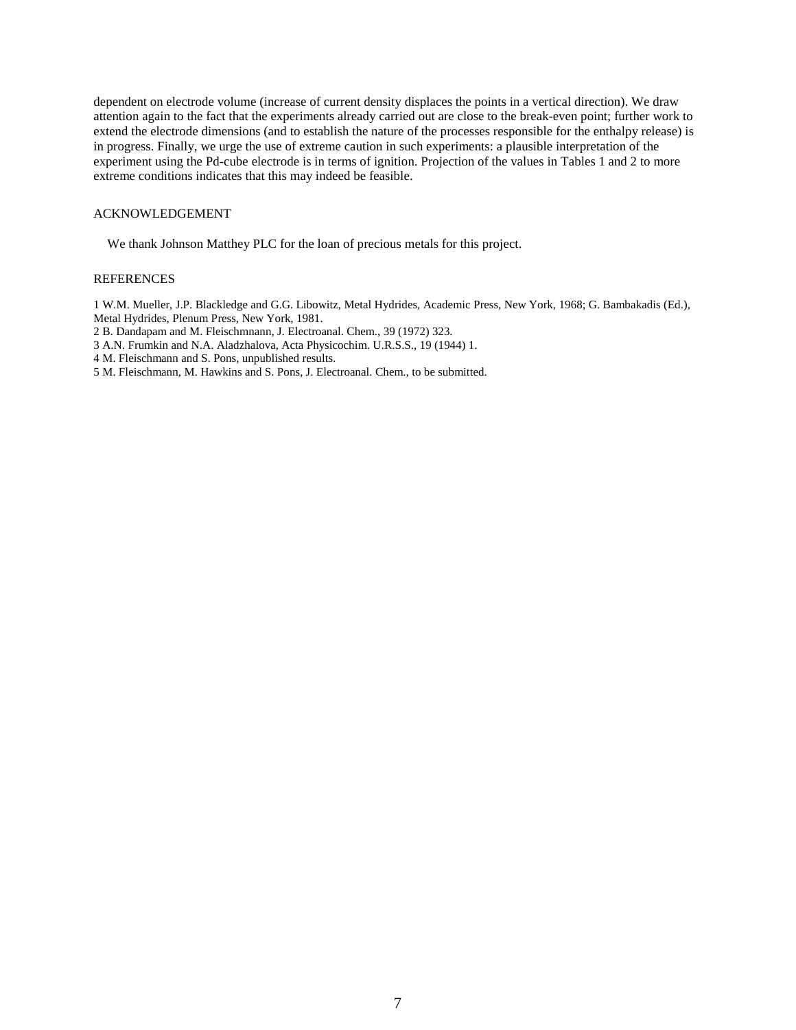dependent on electrode volume (increase of current density displaces the points in a vertical direction). We draw attention again to the fact that the experiments already carried out are close to the break-even point; further work to extend the electrode dimensions (and to establish the nature of the processes responsible for the enthalpy release) is in progress. Finally, we urge the use of extreme caution in such experiments: a plausible interpretation of the experiment using the Pd-cube electrode is in terms of ignition. Projection of the values in Tables 1 and 2 to more extreme conditions indicates that this may indeed be feasible.

### ACKNOWLEDGEMENT

We thank Johnson Matthey PLC for the loan of precious metals for this project.

### **REFERENCES**

1 W.M. Mueller, J.P. Blackledge and G.G. Libowitz, Metal Hydrides, Academic Press, New York, 1968; G. Bambakadis (Ed.), Metal Hydrides, Plenum Press, New York, 1981.

- 2 B. Dandapam and M. Fleischmnann, J. Electroanal. Chem., 39 (1972) 323.
- 3 A.N. Frumkin and N.A. Aladzhalova, Acta Physicochim. U.R.S.S., 19 (1944) 1.
- 4 M. Fleischmann and S. Pons, unpublished results.

5 M. Fleischmann, M. Hawkins and S. Pons, J. Electroanal. Chem., to be submitted.